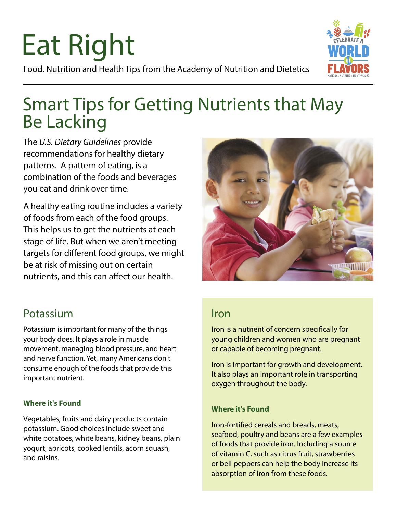# Eat Right Food, Nutrition and Health Tips from the Academy of Nutrition and Dietetics



# Smart Tips for Getting Nutrients that May Be Lacking

The *U.S. Dietary Guidelines* provide recommendations for healthy dietary patterns. A pattern of eating, is a combination of the foods and beverages you eat and drink over time.

A healthy eating routine includes a variety of foods from each of the food groups. This helps us to get the nutrients at each stage of life. But when we aren't meeting targets for different food groups, we might be at risk of missing out on certain nutrients, and this can affect our health.



# Potassium

Potassium is important for many of the things your body does. It plays a role in muscle movement, managing blood pressure, and heart and nerve function. Yet, many Americans don't consume enough of the foods that provide this important nutrient.

### **Where it's Found**

Vegetables, fruits and dairy products contain potassium. Good choices include sweet and white potatoes, white beans, kidney beans, plain yogurt, apricots, cooked lentils, acorn squash, and raisins.

## Iron

Iron is a nutrient of concern specifically for young children and women who are pregnant or capable of becoming pregnant.

Iron is important for growth and development. It also plays an important role in transporting oxygen throughout the body.

### **Where it's Found**

Iron-fortified cereals and breads, meats, seafood, poultry and beans are a few examples of foods that provide iron. Including a source of vitamin C, such as citrus fruit, strawberries or bell peppers can help the body increase its absorption of iron from these foods.